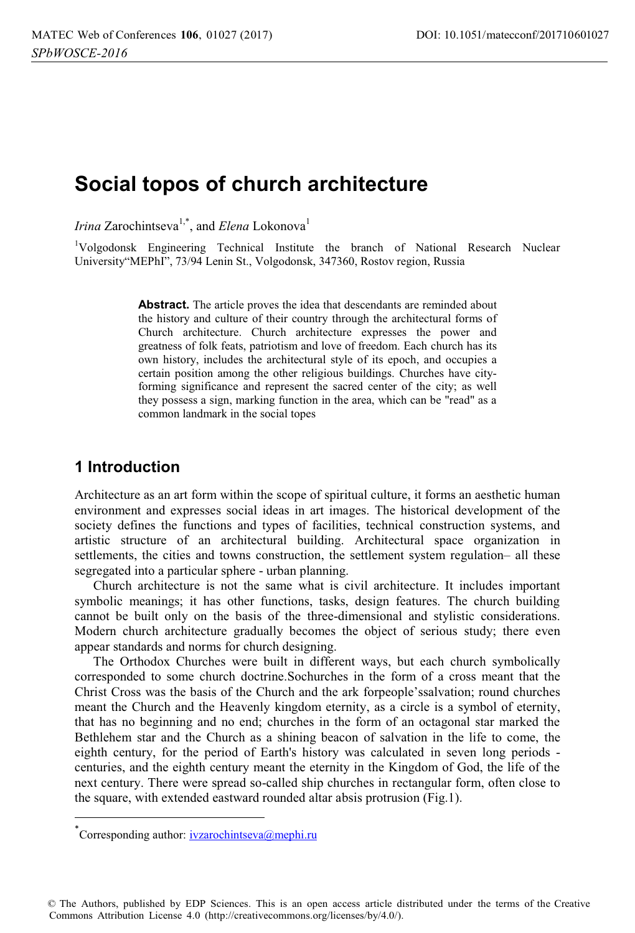# **Social topos of church architecture**

*Irina* Zarochintseva<sup>1,\*</sup>, and *Elena* Lokonova<sup>1</sup>

<sup>1</sup>Volgodonsk Engineering Technical Institute the branch of National Research Nuclear University"MEPhI", 73/94 Lenin St., Volgodonsk, 347360, Rostov region, Russia

> **Abstract.** The article proves the idea that descendants are reminded about the history and culture of their country through the architectural forms of Church architecture. Church architecture expresses the power and greatness of folk feats, patriotism and love of freedom. Each church has its own history, includes the architectural style of its epoch, and occupies a certain position among the other religious buildings. Churches have cityforming significance and represent the sacred center of the city; as well they possess a sign, marking function in the area, which can be "read" as a common landmark in the social topes

## **1 Introduction**

l

Architecture as an art form within the scope of spiritual culture, it forms an aesthetic human environment and expresses social ideas in art images. The historical development of the society defines the functions and types of facilities, technical construction systems, and artistic structure of an architectural building. Architectural space organization in settlements, the cities and towns construction, the settlement system regulation– all these segregated into a particular sphere - urban planning.

Church architecture is not the same what is civil architecture. It includes important symbolic meanings; it has other functions, tasks, design features. The church building cannot be built only on the basis of the three-dimensional and stylistic considerations. Modern church architecture gradually becomes the object of serious study; there even appear standards and norms for church designing.

The Orthodox Churches were built in different ways, but each church symbolically corresponded to some church doctrine.Sochurches in the form of a cross meant that the Christ Cross was the basis of the Church and the ark forpeople'ssalvation; round churches meant the Church and the Heavenly kingdom eternity, as a circle is a symbol of eternity, that has no beginning and no end; churches in the form of an octagonal star marked the Bethlehem star and the Church as a shining beacon of salvation in the life to come, the eighth century, for the period of Earth's history was calculated in seven long periods centuries, and the eighth century meant the eternity in the Kingdom of God, the life of the next century. There were spread so-called ship churches in rectangular form, often close to the square, with extended eastward rounded altar absis protrusion (Fig.1).

© The Authors, published by EDP Sciences. This is an open access article distributed under the terms of the Creative Commons Attribution License 4.0 (http://creativecommons.org/licenses/by/4.0/).

<sup>\*&</sup>lt;br>Corresponding author: **ivzarochintseva@mephi.ru**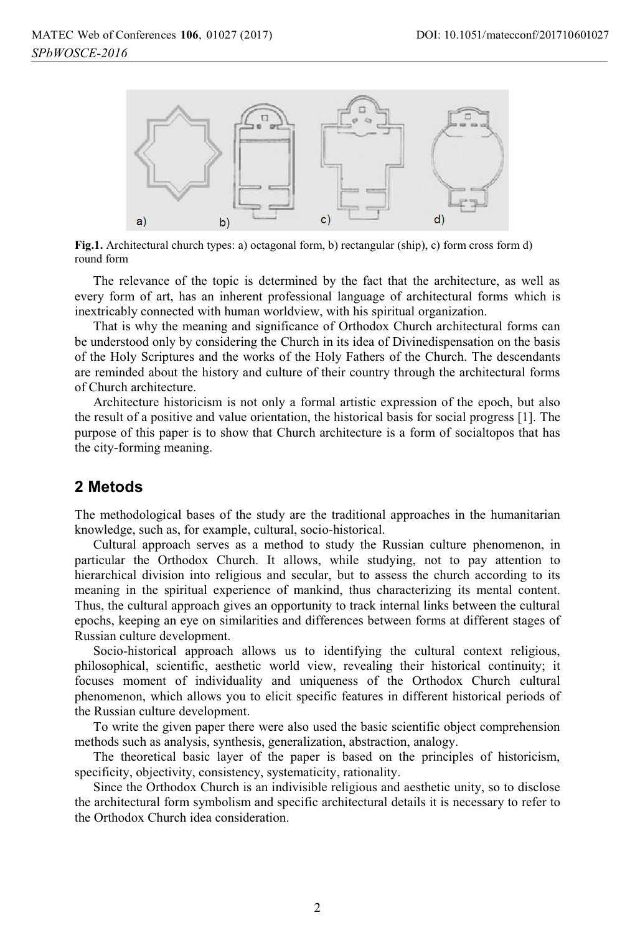

**Fig.1.** Architectural church types: a) octagonal form, b) rectangular (ship), c) form cross form d) round form

The relevance of the topic is determined by the fact that the architecture, as well as every form of art, has an inherent professional language of architectural forms which is inextricably connected with human worldview, with his spiritual organization.

That is why the meaning and significance of Orthodox Church architectural forms can be understood only by considering the Church in its idea of Divinedispensation on the basis of the Holy Scriptures and the works of the Holy Fathers of the Church. The descendants are reminded about the history and culture of their country through the architectural forms of Church architecture.

Architecture historicism is not only a formal artistic expression of the epoch, but also the result of a positive and value orientation, the historical basis for social progress [1]. The purpose of this paper is to show that Church architecture is a form of socialtopos that has the city-forming meaning.

## **2 Metods**

The methodological bases of the study are the traditional approaches in the humanitarian knowledge, such as, for example, cultural, socio-historical.

Cultural approach serves as a method to study the Russian culture phenomenon, in particular the Orthodox Church. It allows, while studying, not to pay attention to hierarchical division into religious and secular, but to assess the church according to its meaning in the spiritual experience of mankind, thus characterizing its mental content. Thus, the cultural approach gives an opportunity to track internal links between the cultural epochs, keeping an eye on similarities and differences between forms at different stages of Russian culture development.

Socio-historical approach allows us to identifying the cultural context religious, philosophical, scientific, aesthetic world view, revealing their historical continuity; it focuses moment of individuality and uniqueness of the Orthodox Church cultural phenomenon, which allows you to elicit specific features in different historical periods of the Russian culture development.

To write the given paper there were also used the basic scientific object comprehension methods such as analysis, synthesis, generalization, abstraction, analogy.

The theoretical basic layer of the paper is based on the principles of historicism, specificity, objectivity, consistency, systematicity, rationality.

Since the Orthodox Church is an indivisible religious and aesthetic unity, so to disclose the architectural form symbolism and specific architectural details it is necessary to refer to the Orthodox Church idea consideration.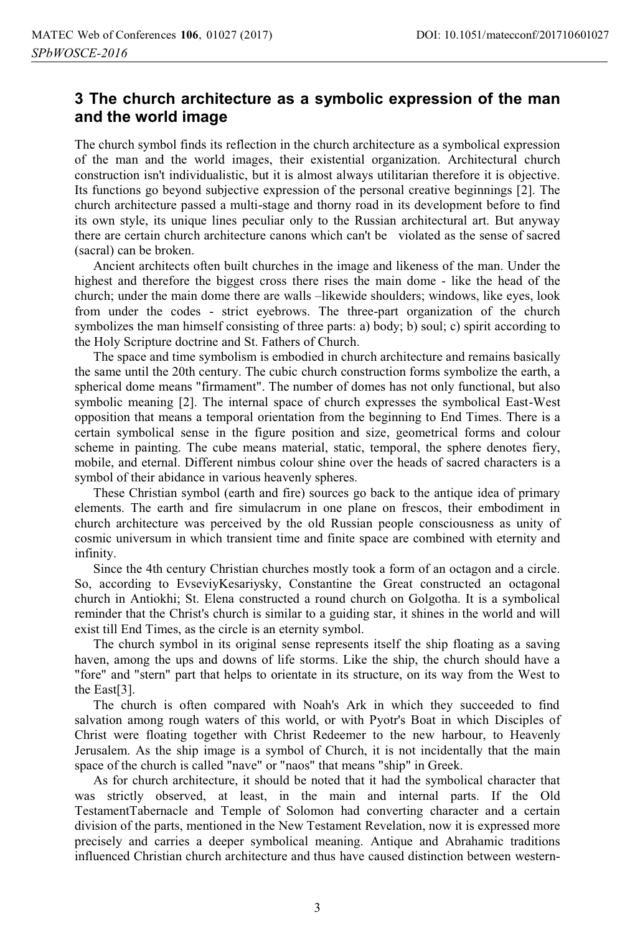## **3 The church architecture as a symbolic expression of the man and the world image**

The church symbol finds its reflection in the church architecture as a symbolical expression of the man and the world images, their existential organization. Architectural church construction isn't individualistic, but it is almost always utilitarian therefore it is objective. Its functions go beyond subjective expression of the personal creative beginnings [2]. The church architecture passed a multi-stage and thorny road in its development before to find its own style, its unique lines peculiar only to the Russian architectural art. But anyway there are certain church architecture canons which can't be violated as the sense of sacred (sacral) can be broken.

Ancient architects often built churches in the image and likeness of the man. Under the highest and therefore the biggest cross there rises the main dome - like the head of the church; under the main dome there are walls –likewide shoulders; windows, like eyes, look from under the codes - strict eyebrows. The three-part organization of the church symbolizes the man himself consisting of three parts: a) body; b) soul; c) spirit according to the Holy Scripture doctrine and St. Fathers of Church.

The space and time symbolism is embodied in church architecture and remains basically the same until the 20th century. The cubic church construction forms symbolize the earth, a spherical dome means "firmament". The number of domes has not only functional, but also symbolic meaning [2]. The internal space of church expresses the symbolical East-West opposition that means a temporal orientation from the beginning to End Times. There is a certain symbolical sense in the figure position and size, geometrical forms and colour scheme in painting. The cube means material, static, temporal, the sphere denotes fiery, mobile, and eternal. Different nimbus colour shine over the heads of sacred characters is a symbol of their abidance in various heavenly spheres.

These Christian symbol (earth and fire) sources go back to the antique idea of primary elements. The earth and fire simulacrum in one plane on frescos, their embodiment in church architecture was perceived by the old Russian people consciousness as unity of cosmic universum in which transient time and finite space are combined with eternity and infinity.

Since the 4th century Christian churches mostly took a form of an octagon and a circle. So, according to EvseviyKesariysky, Constantine the Great constructed an octagonal church in Antiokhi; St. Elena constructed a round church on Golgotha. It is a symbolical reminder that the Christ's church is similar to a guiding star, it shines in the world and will exist till End Times, as the circle is an eternity symbol.

The church symbol in its original sense represents itself the ship floating as a saving haven, among the ups and downs of life storms. Like the ship, the church should have a "fore" and "stern" part that helps to orientate in its structure, on its way from the West to the East[3].

The church is often compared with Noah's Ark in which they succeeded to find salvation among rough waters of this world, or with Pyotr's Boat in which Disciples of Christ were floating together with Christ Redeemer to the new harbour, to Heavenly Jerusalem. As the ship image is a symbol of Church, it is not incidentally that the main space of the church is called "nave" or "naos" that means "ship" in Greek.

As for church architecture, it should be noted that it had the symbolical character that was strictly observed, at least, in the main and internal parts. If the Old TestamentTabernacle and Temple of Solomon had converting character and a certain division of the parts, mentioned in the New Testament Revelation, now it is expressed more precisely and carries a deeper symbolical meaning. Antique and Abrahamic traditions influenced Christian church architecture and thus have caused distinction between western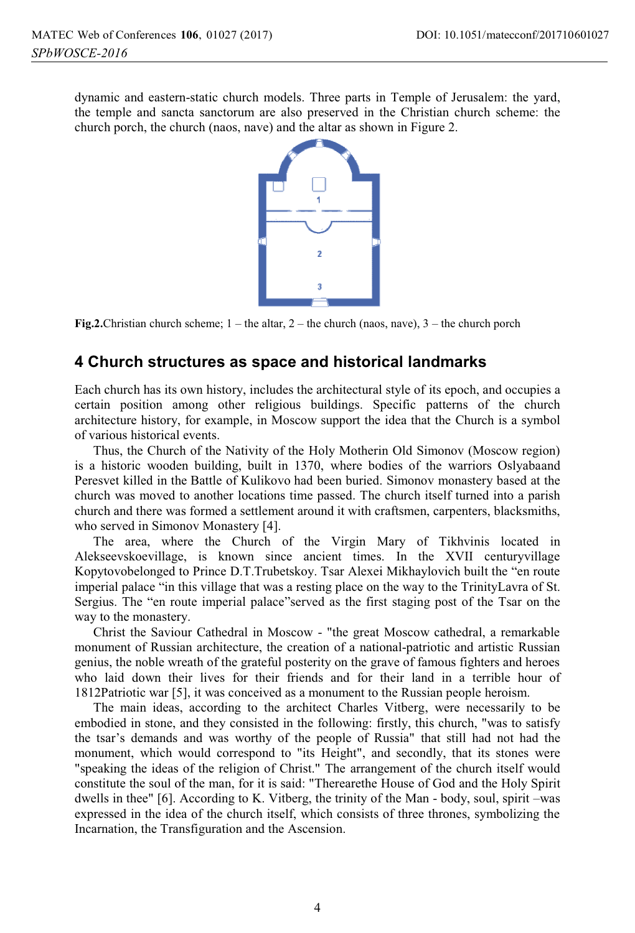dynamic and eastern-static church models. Three parts in Temple of Jerusalem: the yard, the temple and sancta sanctorum are also preserved in the Christian church scheme: the church porch, the church (naos, nave) and the altar as shown in Figure 2.



**Fig.2.**Christian church scheme;  $1 -$  the altar,  $2 -$  the church (naos, nave),  $3 -$  the church porch

#### **4 Church structures as space and historical landmarks**

Each church has its own history, includes the architectural style of its epoch, and occupies a certain position among other religious buildings. Specific patterns of the church architecture history, for example, in Moscow support the idea that the Church is a symbol of various historical events.

Thus, the Church of the Nativity of the Holy Motherin Old Simonov (Moscow region) is a historic wooden building, built in 1370, where bodies of the warriors Oslyabaand Peresvet killed in the Battle of Kulikovo had been buried. Simonov monastery based at the church was moved to another locations time passed. The church itself turned into a parish church and there was formed a settlement around it with craftsmen, carpenters, blacksmiths, who served in Simonov Monastery [4].

The area, where the Church of the Virgin Mary of Tikhvinis located in Alekseevskoevillage, is known since ancient times. In the XVII centuryvillage Kopytovobelonged to Prince D.T.Trubetskoy. Tsar Alexei Mikhaylovich built the "en route imperial palace "in this village that was a resting place on the way to the TrinityLavra of St. Sergius. The "en route imperial palace"served as the first staging post of the Tsar on the way to the monastery.

Christ the Saviour Cathedral in Moscow - "the great Moscow cathedral, a remarkable monument of Russian architecture, the creation of a national-patriotic and artistic Russian genius, the noble wreath of the grateful posterity on the grave of famous fighters and heroes who laid down their lives for their friends and for their land in a terrible hour of 1812Patriotic war [5], it was conceived as a monument to the Russian people heroism.

The main ideas, according to the architect Charles Vitberg, were necessarily to be embodied in stone, and they consisted in the following: firstly, this church, "was to satisfy the tsar's demands and was worthy of the people of Russia" that still had not had the monument, which would correspond to "its Height", and secondly, that its stones were "speaking the ideas of the religion of Christ." The arrangement of the church itself would constitute the soul of the man, for it is said: "Therearethe House of God and the Holy Spirit dwells in thee" [6]. According to K. Vitberg, the trinity of the Man - body, soul, spirit –was expressed in the idea of the church itself, which consists of three thrones, symbolizing the Incarnation, the Transfiguration and the Ascension.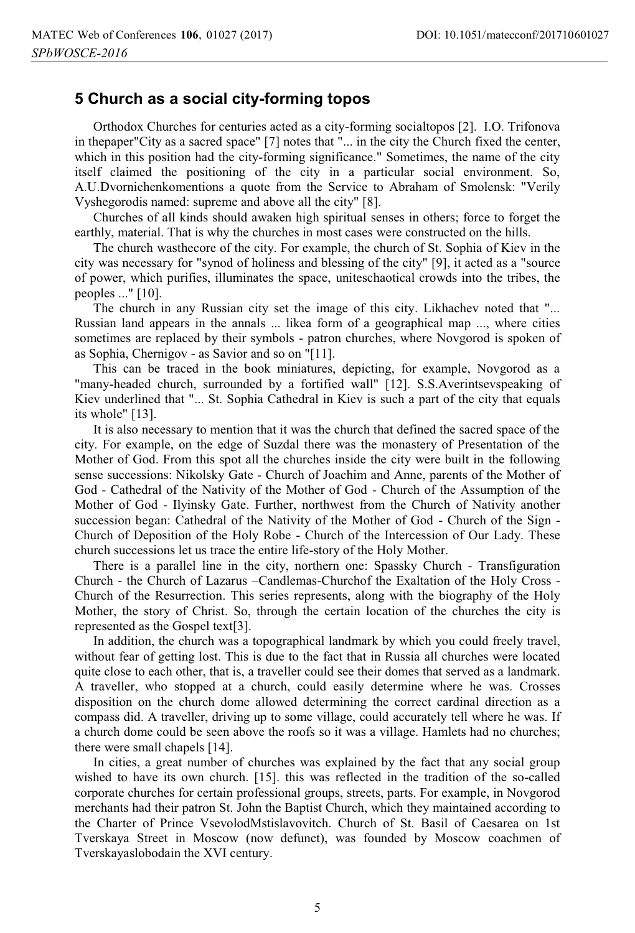## **5 Church as a social city-forming topos**

Orthodox Churches for centuries acted as a city-forming socialtopos [2]. I.O. Trifonova in thepaper"City as a sacred space" [7] notes that "... in the city the Church fixed the center, which in this position had the city-forming significance." Sometimes, the name of the city itself claimed the positioning of the city in a particular social environment. So, A.U.Dvornichenkomentions a quote from the Service to Abraham of Smolensk: "Verily Vyshegorodis named: supreme and above all the city" [8].

Churches of all kinds should awaken high spiritual senses in others; force to forget the earthly, material. That is why the churches in most cases were constructed on the hills.

The church wasthecore of the city. For example, the church of St. Sophia of Kiev in the city was necessary for "synod of holiness and blessing of the city" [9], it acted as a "source of power, which purifies, illuminates the space, uniteschaotical crowds into the tribes, the peoples ..." [10].

The church in any Russian city set the image of this city. Likhachev noted that "... Russian land appears in the annals ... likea form of a geographical map ..., where cities sometimes are replaced by their symbols - patron churches, where Novgorod is spoken of as Sophia, Chernigov - as Savior and so on "[11].

This can be traced in the book miniatures, depicting, for example, Novgorod as a "many-headed church, surrounded by a fortified wall" [12]. S.S.Averintsevspeaking of Kiev underlined that "... St. Sophia Cathedral in Kiev is such a part of the city that equals its whole" [13].

It is also necessary to mention that it was the church that defined the sacred space of the city. For example, on the edge of Suzdal there was the monastery of Presentation of the Mother of God. From this spot all the churches inside the city were built in the following sense successions: Nikolsky Gate - Church of Joachim and Anne, parents of the Mother of God - Cathedral of the Nativity of the Mother of God - Church of the Assumption of the Mother of God - Ilyinsky Gate. Further, northwest from the Church of Nativity another succession began: Cathedral of the Nativity of the Mother of God - Church of the Sign - Church of Deposition of the Holy Robe - Church of the Intercession of Our Lady. These church successions let us trace the entire life-story of the Holy Mother.

There is a parallel line in the city, northern one: Spassky Church - Transfiguration Church - the Church of Lazarus –Candlemas-Churchof the Exaltation of the Holy Cross - Church of the Resurrection. This series represents, along with the biography of the Holy Mother, the story of Christ. So, through the certain location of the churches the city is represented as the Gospel text[3].

In addition, the church was a topographical landmark by which you could freely travel, without fear of getting lost. This is due to the fact that in Russia all churches were located quite close to each other, that is, a traveller could see their domes that served as a landmark. A traveller, who stopped at a church, could easily determine where he was. Crosses disposition on the church dome allowed determining the correct cardinal direction as a compass did. A traveller, driving up to some village, could accurately tell where he was. If a church dome could be seen above the roofs so it was a village. Hamlets had no churches; there were small chapels [14].

In cities, a great number of churches was explained by the fact that any social group wished to have its own church. [15]. this was reflected in the tradition of the so-called corporate churches for certain professional groups, streets, parts. For example, in Novgorod merchants had their patron St. John the Baptist Church, which they maintained according to the Charter of Prince VsevolodMstislavovitch. Church of St. Basil of Caesarea on 1st Tverskaya Street in Moscow (now defunct), was founded by Moscow coachmen of Tverskayaslobodain the XVI century.